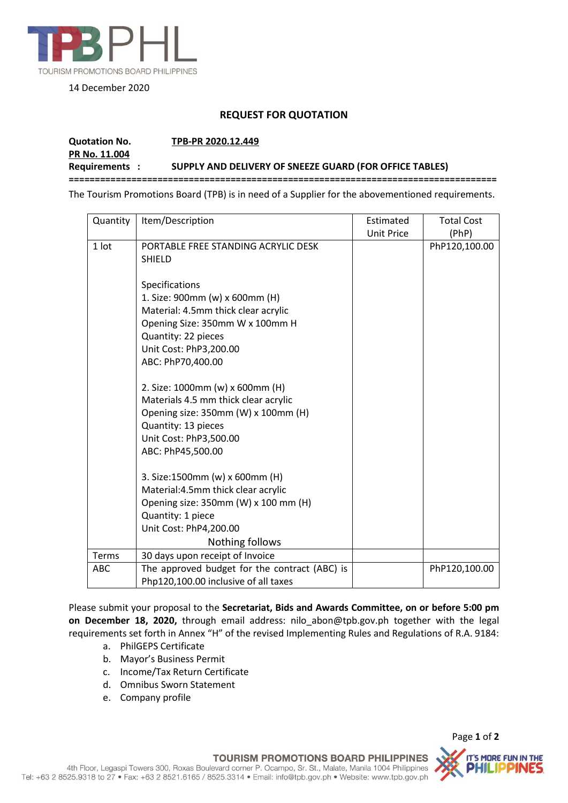

## 14 December 2020

## **REQUEST FOR QUOTATION**

## **Quotation No. TPB-PR 2020.12.449 PR No. 11.004 Requirements : SUPPLY AND DELIVERY OF SNEEZE GUARD (FOR OFFICE TABLES) ==================================================================================**

The Tourism Promotions Board (TPB) is in need of a Supplier for the abovementioned requirements.

| Quantity   | Item/Description                                                                                                                                                                                 | Estimated         | <b>Total Cost</b> |
|------------|--------------------------------------------------------------------------------------------------------------------------------------------------------------------------------------------------|-------------------|-------------------|
|            |                                                                                                                                                                                                  | <b>Unit Price</b> | (PhP)             |
| 1 lot      | PORTABLE FREE STANDING ACRYLIC DESK<br><b>SHIELD</b>                                                                                                                                             |                   | PhP120,100.00     |
|            | Specifications<br>1. Size: 900mm (w) x 600mm (H)<br>Material: 4.5mm thick clear acrylic<br>Opening Size: 350mm W x 100mm H<br>Quantity: 22 pieces<br>Unit Cost: PhP3,200.00<br>ABC: PhP70,400.00 |                   |                   |
|            | 2. Size: 1000mm (w) x 600mm (H)<br>Materials 4.5 mm thick clear acrylic<br>Opening size: 350mm (W) x 100mm (H)<br>Quantity: 13 pieces<br>Unit Cost: PhP3,500.00<br>ABC: PhP45,500.00             |                   |                   |
|            | 3. Size:1500mm (w) x 600mm (H)<br>Material: 4.5mm thick clear acrylic<br>Opening size: 350mm (W) x 100 mm (H)<br>Quantity: 1 piece<br>Unit Cost: PhP4,200.00<br>Nothing follows                  |                   |                   |
| Terms      | 30 days upon receipt of Invoice                                                                                                                                                                  |                   |                   |
| <b>ABC</b> | The approved budget for the contract (ABC) is<br>Php120,100.00 inclusive of all taxes                                                                                                            |                   | PhP120,100.00     |

Please submit your proposal to the **Secretariat, Bids and Awards Committee, on or before 5:00 pm on December 18, 2020,** through email address: nilo\_abon@tpb.gov.ph together with the legal requirements set forth in Annex "H" of the revised Implementing Rules and Regulations of R.A. 9184:

- a. PhilGEPS Certificate
- b. Mayor's Business Permit
- c. Income/Tax Return Certificate
- d. Omnibus Sworn Statement
- e. Company profile

Page **1** of **2** IT'S MORE FUN IN THE

**TOURISM PROMOTIONS BOARD PHILIPPINES** 4th Floor, Legaspi Towers 300, Roxas Boulevard corner P. Ocampo, Sr. St., Malate, Manila 1004 Philippines Tel: +63 2 8525.9318 to 27 · Fax: +63 2 8521.6165 / 8525.3314 · Email: info@tpb.gov.ph · Website: www.tpb.gov.ph